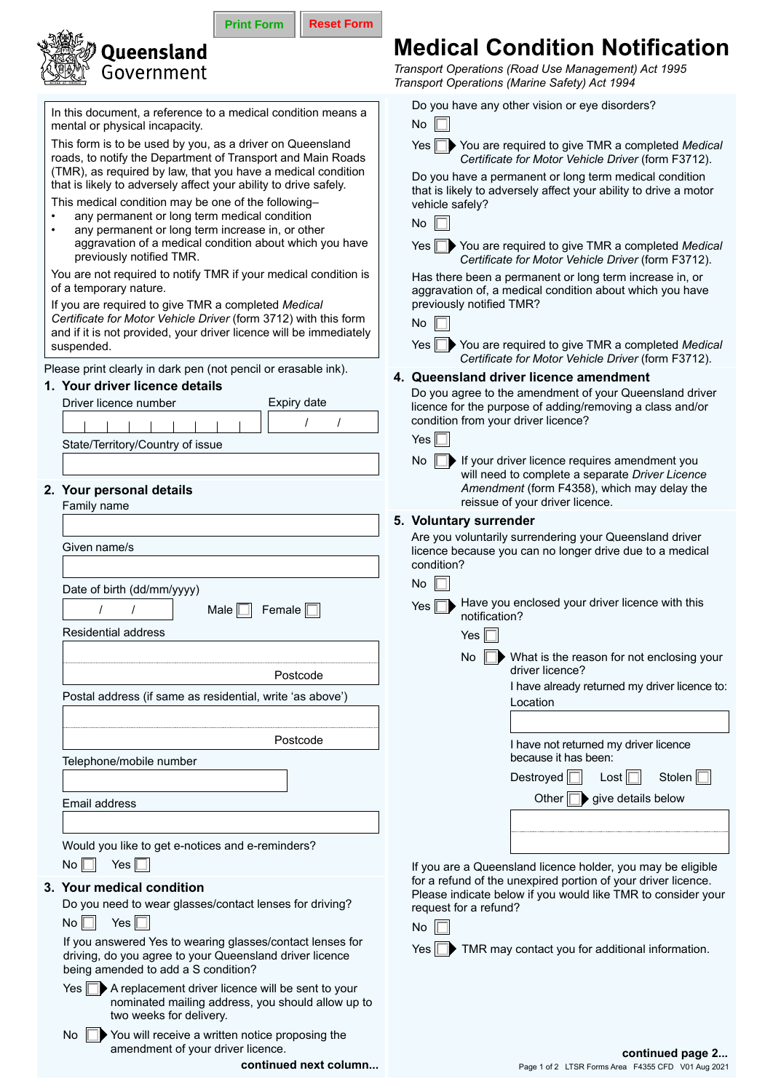| <b>、《《》》。<br/>《《《》》 Queensland</b><br>《《《》》 Governmen |
|-------------------------------------------------------|
| Government                                            |

In this document, a reference to a medical condition means a mental or physical incapacity.

This form is to be used by you, as a driver on Queensland roads, to notify the Department of Transport and Main R (TMR), as required by law, that you have a medical condition that is likely to adversely affect your ability to drive safely

This medical condition may be one of the following–

any permanent or long term medical condition any permanent or long term increase in, or other aggravation of a medical condition about which you previously notified TMR.

You are not required to notify TMR if your medical condit of a temporary nature.

If you are required to give TMR a completed *Medical Certificate for Motor Vehicle Driver* (form 3712) with this and if it is not provided, your driver licence will be immed suspended.

Please print clearly in dark pen (not pencil or erasable ink).

## **1. Your driver licence details** Driver licence number Expiry date / / **2. Your personal details** Family name Given name/s State/Territory/Country of issue condition? **5. Voluntary surrender** Yes

**Print Form | Reset Form** 

**continued next column...**

|                                                                                                                                                         | $\frac{1}{2}$ . Notice the contract of the contract of the contract of the contract of the contract of the contract of the contract of the contract of the contract of the contract of the contract of the contract of the contra<br>condition? |
|---------------------------------------------------------------------------------------------------------------------------------------------------------|-------------------------------------------------------------------------------------------------------------------------------------------------------------------------------------------------------------------------------------------------|
| Date of birth (dd/mm/yyyy)                                                                                                                              | No                                                                                                                                                                                                                                              |
| Female $\Box$<br>Male $\Box$                                                                                                                            | Have you enclosed your driver licence with this<br>Yes $\Box$<br>notification?                                                                                                                                                                  |
| <b>Residential address</b>                                                                                                                              | Yes $\Box$                                                                                                                                                                                                                                      |
| Postcode                                                                                                                                                | No $\Box$ What is the reason for not enclosing your<br>driver licence?<br>I have already returned my driver licence to:                                                                                                                         |
| Postal address (if same as residential, write 'as above')                                                                                               | Location                                                                                                                                                                                                                                        |
| Postcode                                                                                                                                                |                                                                                                                                                                                                                                                 |
| Telephone/mobile number                                                                                                                                 | I have not returned my driver licence<br>because it has been:                                                                                                                                                                                   |
|                                                                                                                                                         | Stolen $\Box$<br>Destroyed $\Box$<br>$\text{Last}$                                                                                                                                                                                              |
| Email address                                                                                                                                           | Other $\Box$ give details below                                                                                                                                                                                                                 |
|                                                                                                                                                         |                                                                                                                                                                                                                                                 |
| Would you like to get e-notices and e-reminders?                                                                                                        |                                                                                                                                                                                                                                                 |
| Yes $\Box$<br>$\mathsf{No}\,\Box$                                                                                                                       | If you are a Queensland licence holder, you may be eligible<br>for a refund of the unexpired portion of your driver licence.                                                                                                                    |
| 3. Your medical condition<br>Do you need to wear glasses/contact lenses for driving?<br>Yes $\Box$                                                      | Please indicate below if you would like TMR to consider your<br>request for a refund?                                                                                                                                                           |
| $No$ $\Box$<br>If you answered Yes to wearing glasses/contact lenses for                                                                                | $No$ $\Gamma$                                                                                                                                                                                                                                   |
| driving, do you agree to your Queensland driver licence<br>being amended to add a S condition?                                                          | $Yes \nightharpoonup$ TMR may contact you for additional information.                                                                                                                                                                           |
| $Yes \nightharpoonup$ A replacement driver licence will be sent to your<br>nominated mailing address, you should allow up to<br>two weeks for delivery. |                                                                                                                                                                                                                                                 |
| ↑ You will receive a written notice proposing the<br>No<br>amendment of your driver licence.                                                            | continued page 2                                                                                                                                                                                                                                |

## **Medical Condition Notification**

*Transport Operations (Road Use Management) Act 1995 Transport Operations (Marine Safety) Act 1994*

Do you have any other vision or eye disorders?

|                 | <b>No</b>                                                                                                                                                                          |  |  |  |
|-----------------|------------------------------------------------------------------------------------------------------------------------------------------------------------------------------------|--|--|--|
| nd<br>oads:     | Yes ∥<br>You are required to give TMR a completed Medical<br>Certificate for Motor Vehicle Driver (form F3712).                                                                    |  |  |  |
| dition<br>y.    | Do you have a permanent or long term medical condition<br>that is likely to adversely affect your ability to drive a motor<br>vehicle safely?                                      |  |  |  |
|                 | No                                                                                                                                                                                 |  |  |  |
| ⊧have           | Yes Vou are required to give TMR a completed Medical<br>Certificate for Motor Vehicle Driver (form F3712).                                                                         |  |  |  |
| tion is         | Has there been a permanent or long term increase in, or<br>aggravation of, a medical condition about which you have<br>previously notified TMR?                                    |  |  |  |
| form<br>diately | No                                                                                                                                                                                 |  |  |  |
|                 | Yes   <br>◯ You are required to give TMR a completed Medical<br>Certificate for Motor Vehicle Driver (form F3712).                                                                 |  |  |  |
| ().             | 4. Queensland driver licence amendment                                                                                                                                             |  |  |  |
|                 | Do you agree to the amendment of your Queensland driver<br>licence for the purpose of adding/removing a class and/or                                                               |  |  |  |
|                 | condition from your driver licence?<br>Yes $\parallel$                                                                                                                             |  |  |  |
|                 |                                                                                                                                                                                    |  |  |  |
|                 | $No$ $\parallel$<br>$\blacksquare$ If your driver licence requires amendment you<br>will need to complete a separate Driver Licence<br>Amendment (form F4358), which may delay the |  |  |  |
|                 | reissue of your driver licence.                                                                                                                                                    |  |  |  |
|                 | 5. Voluntary surrender                                                                                                                                                             |  |  |  |
|                 | Are you voluntarily surrendering your Queensland driver                                                                                                                            |  |  |  |
|                 | licence because you can no longer drive due to a medical<br>condition?                                                                                                             |  |  |  |
|                 | No                                                                                                                                                                                 |  |  |  |
|                 | Have you enclosed your driver licence with this<br>Yes $\parallel$<br>notification?                                                                                                |  |  |  |
|                 | Yes $\parallel$                                                                                                                                                                    |  |  |  |
|                 | H<br>No<br>What is the reason for not enclosing your<br>driver licence?                                                                                                            |  |  |  |
| ('ڊ             | I have already returned my driver licence to:                                                                                                                                      |  |  |  |
|                 | Location                                                                                                                                                                           |  |  |  |
|                 |                                                                                                                                                                                    |  |  |  |
|                 | I have not returned my driver licence<br>because it has been:                                                                                                                      |  |  |  |
|                 | Destroyed [<br>Lost $\Box$<br>Stolen                                                                                                                                               |  |  |  |
|                 | Other $\Box\blacktriangleright$ give details below                                                                                                                                 |  |  |  |
|                 |                                                                                                                                                                                    |  |  |  |
|                 |                                                                                                                                                                                    |  |  |  |
|                 |                                                                                                                                                                                    |  |  |  |
|                 | If you are a Queensland licence holder, you may be eligible<br>for a refund of the unexpired portion of your driver licence.                                                       |  |  |  |
|                 | Please indicate below if you would like TMR to consider your                                                                                                                       |  |  |  |
| g?              | request for a refund?                                                                                                                                                              |  |  |  |
|                 | No.                                                                                                                                                                                |  |  |  |
| s for<br>cе     | $Yes \nightharpoonup$ TMR may contact you for additional information.                                                                                                              |  |  |  |
| our/            |                                                                                                                                                                                    |  |  |  |
| v up to         |                                                                                                                                                                                    |  |  |  |